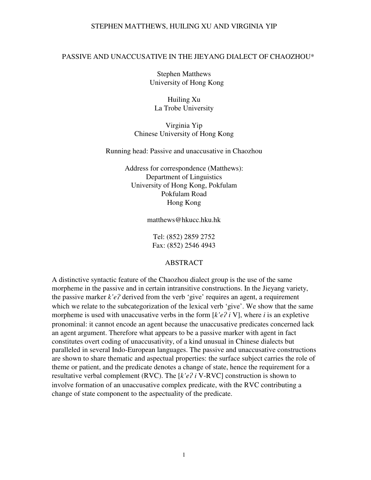### PASSIVE AND UNACCUSATIVE IN THE JIEYANG DIALECT OF CHAOZHOU\*

Stephen Matthews University of Hong Kong

Huiling Xu La Trobe University

Virginia Yip Chinese University of Hong Kong

Running head: Passive and unaccusative in Chaozhou

Address for correspondence (Matthews): Department of Linguistics University of Hong Kong, Pokfulam Pokfulam Road Hong Kong

matthews@hkucc.hku.hk

Tel: (852) 2859 2752 Fax: (852) 2546 4943

#### ABSTRACT

A distinctive syntactic feature of the Chaozhou dialect group is the use of the same morpheme in the passive and in certain intransitive constructions. In the Jieyang variety, the passive marker *k'e?* derived from the verb 'give' requires an agent, a requirement which we relate to the subcategorization of the lexical verb 'give'. We show that the same morpheme is used with unaccusative verbs in the form  $\lfloor k'e\rfloor$  *i* V, where *i* is an expletive pronominal: it cannot encode an agent because the unaccusative predicates concerned lack an agent argument. Therefore what appears to be a passive marker with agent in fact constitutes overt coding of unaccusativity, of a kind unusual in Chinese dialects but paralleled in several Indo-European languages. The passive and unaccusative constructions are shown to share thematic and aspectual properties: the surface subject carries the role of theme or patient, and the predicate denotes a change of state, hence the requirement for a resultative verbal complement (RVC). The  $[k'e\hat{i} \text{ } V\text{-RVC}]$  construction is shown to involve formation of an unaccusative complex predicate, with the RVC contributing a change of state component to the aspectuality of the predicate.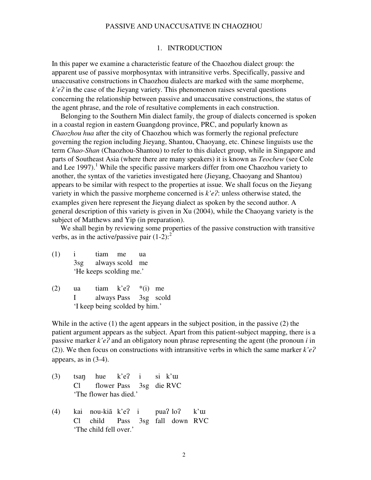#### 1. INTRODUCTION

In this paper we examine a characteristic feature of the Chaozhou dialect group: the apparent use of passive morphosyntax with intransitive verbs. Specifically, passive and unaccusative constructions in Chaozhou dialects are marked with the same morpheme,  $k'e$ ? in the case of the Jieyang variety. This phenomenon raises several questions concerning the relationship between passive and unaccusative constructions, the status of the agent phrase, and the role of resultative complements in each construction.

Belonging to the Southern Min dialect family, the group of dialects concerned is spoken in a coastal region in eastern Guangdong province, PRC, and popularly known as *Chaozhou hua* after the city of Chaozhou which was formerly the regional prefecture governing the region including Jieyang, Shantou, Chaoyang, etc. Chinese linguists use the term *Chao-Shan* (Chaozhou-Shantou) to refer to this dialect group, while in Singapore and parts of Southeast Asia (where there are many speakers) it is known as *Teochew* (see Cole and Lee 1997).<sup>1</sup> While the specific passive markers differ from one Chaozhou variety to another, the syntax of the varieties investigated here (Jieyang, Chaoyang and Shantou) appears to be similar with respect to the properties at issue. We shall focus on the Jieyang variety in which the passive morpheme concerned is  $k'e$ ?: unless otherwise stated, the examples given here represent the Jieyang dialect as spoken by the second author. A general description of this variety is given in Xu (2004), while the Chaoyang variety is the subject of Matthews and Yip (in preparation).

 We shall begin by reviewing some properties of the passive construction with transitive verbs, as in the active/passive pair  $(1-2)$ :

- (1) i tiam me ua 3sg always scold me 'He keeps scolding me.'
- (2) ua tiam  $k'e$ ? \*(i) me I always Pass 3sg scold 'I keep being scolded by him.'

While in the active (1) the agent appears in the subject position, in the passive (2) the patient argument appears as the subject. Apart from this patient-subject mapping, there is a passive marker  $k'e$ ? and an obligatory noun phrase representing the agent (the pronoun  $i$  in (2)). We then focus on constructions with intransitive verbs in which the same marker  $k'e$ ? appears, as in (3-4).

- (3) tsan hue k'e? i si k'uu Cl flower Pass 3sg die RVC 'The flower has died.'
- (4) kai nou-kiã k'e? i pua?  $\log$  k'u Cl child Pass 3sg fall down RVC 'The child fell over.'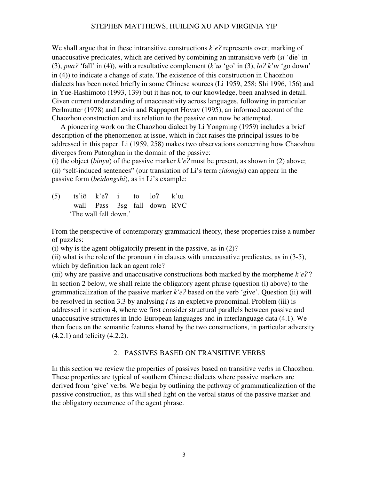We shall argue that in these intransitive constructions  $k'e$ ? represents overt marking of unaccusative predicates, which are derived by combining an intransitive verb (*si* 'die' in (3),  $pua^2$  'fall' in (4)), with a resultative complement  $(k'uu'go'$  in (3),  $lo^2k'uu'go$  down' in (4)) to indicate a change of state. The existence of this construction in Chaozhou dialects has been noted briefly in some Chinese sources (Li 1959, 258; Shi 1996, 156) and in Yue-Hashimoto (1993, 139) but it has not, to our knowledge, been analysed in detail. Given current understanding of unaccusativity across languages, following in particular Perlmutter (1978) and Levin and Rappaport Hovav (1995), an informed account of the Chaozhou construction and its relation to the passive can now be attempted.

A pioneering work on the Chaozhou dialect by Li Yongming (1959) includes a brief description of the phenomenon at issue, which in fact raises the principal issues to be addressed in this paper. Li (1959, 258) makes two observations concerning how Chaozhou diverges from Putonghua in the domain of the passive:

(i) the object (*binyu*) of the passive marker  $k'e$ ? must be present, as shown in (2) above; (ii) "self-induced sentences" (our translation of Li's term *zidongju*) can appear in the passive form (*beidongshi*), as in Li's example:

(5) ts'iõ k'e? i to  $\log k$ 'uu wall Pass 3sg fall down RVC 'The wall fell down.'

From the perspective of contemporary grammatical theory, these properties raise a number of puzzles:

(i) why is the agent obligatorily present in the passive, as in (2)?

(ii) what is the role of the pronoun  $i$  in clauses with unaccusative predicates, as in  $(3-5)$ , which by definition lack an agent role?

(iii) why are passive and unaccusative constructions both marked by the morpheme  $k'e$ ?? In section 2 below, we shall relate the obligatory agent phrase (question (i) above) to the grammaticalization of the passive marker  $k'e$ ? based on the verb 'give'. Question (ii) will be resolved in section 3.3 by analysing *i* as an expletive pronominal. Problem (iii) is addressed in section 4, where we first consider structural parallels between passive and unaccusative structures in Indo-European languages and in interlanguage data (4.1). We then focus on the semantic features shared by the two constructions, in particular adversity (4.2.1) and telicity (4.2.2).

#### 2. PASSIVES BASED ON TRANSITIVE VERBS

In this section we review the properties of passives based on transitive verbs in Chaozhou. These properties are typical of southern Chinese dialects where passive markers are derived from 'give' verbs. We begin by outlining the pathway of grammaticalization of the passive construction, as this will shed light on the verbal status of the passive marker and the obligatory occurrence of the agent phrase.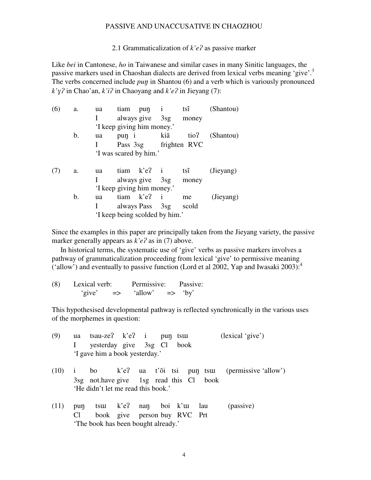2.1 Grammaticalization of  $k'e$ ? as passive marker

Like *bei* in Cantonese, *ho* in Taiwanese and similar cases in many Sinitic languages, the passive markers used in Chaoshan dialects are derived from lexical verbs meaning 'give'.<sup>3</sup> The verbs concerned include *pun* in Shantou (6) and a verb which is variously pronounced  $k'y$ ? in Chao'an,  $k'i$ ? in Chaoyang and  $k'e$ ? in Jieyang (7):

| (6) | a. | ua | tiam           | pun i                          |              | $ts\tilde{i}$ | (Shantou) |
|-----|----|----|----------------|--------------------------------|--------------|---------------|-----------|
|     |    |    |                | always give 3sg                |              | money         |           |
|     |    |    |                | 'I keep giving him money.'     |              |               |           |
|     | b. | ua | pun i          |                                | kiã          | tio?          | (Shantou) |
|     |    |    | Pass 3sg       |                                |              | frighten RVC  |           |
|     |    |    |                | 'I was scared by him.'         |              |               |           |
|     | a. | ua |                | $tiam$ $k'e$ ? i               |              | $ts\tilde{i}$ | (Jieyang) |
|     |    |    |                | always give 3sg                |              | money         |           |
|     |    |    |                | 'I keep giving him money.'     |              |               |           |
|     | b. | ua | $tiam$ $k'e$ ? |                                | $\mathbf{i}$ | me            | (Jieyang) |
|     |    |    |                | always Pass 3sg                |              | scold         |           |
|     |    |    |                | 'I keep being scolded by him.' |              |               |           |

Since the examples in this paper are principally taken from the Jieyang variety, the passive marker generally appears as  $k'e$ ? as in (7) above.

In historical terms, the systematic use of 'give' verbs as passive markers involves a pathway of grammaticalization proceeding from lexical 'give' to permissive meaning ('allow') and eventually to passive function (Lord et al 2002, Yap and Iwasaki 2003):<sup>4</sup>

| (8) | Lexical verb: |               | Permissive: | Passive:      |      |
|-----|---------------|---------------|-------------|---------------|------|
|     | 'give'        | $\Rightarrow$ | 'allow      | $\Rightarrow$ | 'by' |

This hypothesised developmental pathway is reflected synchronically in the various uses of the morphemes in question:

| (9)  |                | ua tsau-ze? k'e? i pun tsuu             |  |                              | (lexical 'give')                                   |
|------|----------------|-----------------------------------------|--|------------------------------|----------------------------------------------------|
|      |                | yesterday give 3sg Cl book              |  |                              |                                                    |
|      |                | 'I gave him a book yesterday.'          |  |                              |                                                    |
| (10) |                |                                         |  |                              | i bo k'e? ua t'õi tsi pun tsuu (permissive allow') |
|      |                | 3sg not have give 1sg read this Cl book |  |                              |                                                    |
|      |                | 'He didn't let me read this book.'      |  |                              |                                                    |
| (11) | pun            | tsuu k'e? nan boi k'uu lau              |  |                              | (passive)                                          |
|      | C <sub>1</sub> |                                         |  | book give person buy RVC Prt |                                                    |
|      |                | 'The book has been bought already.'     |  |                              |                                                    |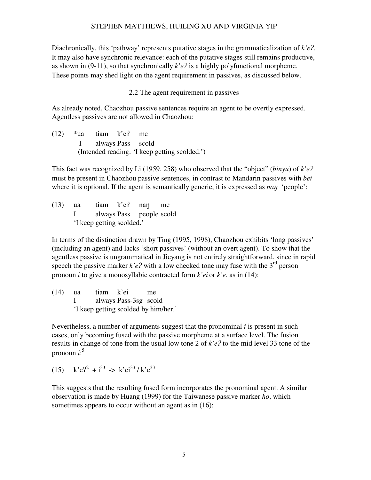Diachronically, this 'pathway' represents putative stages in the grammaticalization of *k*'*e*?. It may also have synchronic relevance: each of the putative stages still remains productive, as shown in (9-11), so that synchronically  $k'e$ ? is a highly polyfunctional morpheme. These points may shed light on the agent requirement in passives, as discussed below.

## 2.2 The agent requirement in passives

As already noted, Chaozhou passive sentences require an agent to be overtly expressed. Agentless passives are not allowed in Chaozhou:

 $(12)$  \*ua tiam k'e? me I always Pass scold (Intended reading: 'I keep getting scolded.')

This fact was recognized by Li (1959, 258) who observed that the "object" (*binyu*) of  $k'e$ ? must be present in Chaozhou passive sentences, in contrast to Mandarin passives with *bei* where it is optional. If the agent is semantically generic, it is expressed as *nan* 'people':

 $(13)$  ua tiam k'e? nan me I always Pass people scold 'I keep getting scolded.'

In terms of the distinction drawn by Ting (1995, 1998), Chaozhou exhibits 'long passives' (including an agent) and lacks 'short passives' (without an overt agent). To show that the agentless passive is ungrammatical in Jieyang is not entirely straightforward, since in rapid speech the passive marker  $k'e$ ? with a low checked tone may fuse with the  $3<sup>rd</sup>$  person pronoun *i* to give a monosyllabic contracted form *k'ei* or *k'e*, as in (14):

(14) ua tiam k'ei me I always Pass-3sg scold 'I keep getting scolded by him/her.'

Nevertheless, a number of arguments suggest that the pronominal *i* is present in such cases, only becoming fused with the passive morpheme at a surface level. The fusion results in change of tone from the usual low tone 2 of  $k'e$ ? to the mid level 33 tone of the pronoun *i*: 5

(15)  $k'e^2 + i^{33} \rightarrow k'e^{33}/k'e^{33}$ 

This suggests that the resulting fused form incorporates the pronominal agent. A similar observation is made by Huang (1999) for the Taiwanese passive marker *ho*, which sometimes appears to occur without an agent as in  $(16)$ :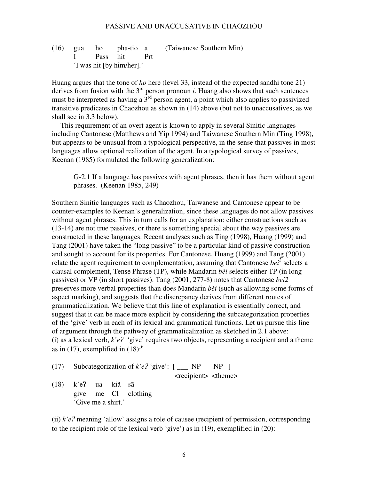(16) gua ho pha-tio a (Taiwanese Southern Min) I Pass hit Prt 'I was hit [by him/her].'

Huang argues that the tone of *ho* here (level 33, instead of the expected sandhi tone 21) derives from fusion with the  $3<sup>rd</sup>$  person pronoun *i*. Huang also shows that such sentences must be interpreted as having a  $3<sup>rd</sup>$  person agent, a point which also applies to passivized transitive predicates in Chaozhou as shown in (14) above (but not to unaccusatives, as we shall see in 3.3 below).

This requirement of an overt agent is known to apply in several Sinitic languages including Cantonese (Matthews and Yip 1994) and Taiwanese Southern Min (Ting 1998), but appears to be unusual from a typological perspective, in the sense that passives in most languages allow optional realization of the agent. In a typological survey of passives, Keenan (1985) formulated the following generalization:

G-2.1 If a language has passives with agent phrases, then it has them without agent phrases. (Keenan 1985, 249)

Southern Sinitic languages such as Chaozhou, Taiwanese and Cantonese appear to be counter-examples to Keenan's generalization, since these languages do not allow passives without agent phrases. This in turn calls for an explanation: either constructions such as (13-14) are not true passives, or there is something special about the way passives are constructed in these languages. Recent analyses such as Ting (1998), Huang (1999) and Tang (2001) have taken the "long passive" to be a particular kind of passive construction and sought to account for its properties. For Cantonese, Huang (1999) and Tang (2001) relate the agent requirement to complementation, assuming that Cantonese  $be^{i^2}$  selects a clausal complement, Tense Phrase (TP), while Mandarin *bèi* selects either TP (in long passives) or VP (in short passives). Tang (2001, 277-8) notes that Cantonese *bei2* preserves more verbal properties than does Mandarin *bèi* (such as allowing some forms of aspect marking), and suggests that the discrepancy derives from different routes of grammaticalization. We believe that this line of explanation is essentially correct, and suggest that it can be made more explicit by considering the subcategorization properties of the 'give' verb in each of its lexical and grammatical functions. Let us pursue this line of argument through the pathway of grammaticalization as sketched in 2.1 above: (i) as a lexical verb,  $k'e$ ? 'give' requires two objects, representing a recipient and a theme as in (17), exemplified in  $(18)$ :<sup>6</sup>

(17) Subcategorization of 
$$
k'e
$$
? 'give':  $[\_\_\_\_\$  NP NP ]

<recipient> <theme>

 $(18)$  k'e? ua kiã sã give me Cl clothing 'Give me a shirt.'

(ii)  $k'e$ ? meaning 'allow' assigns a role of causee (recipient of permission, corresponding to the recipient role of the lexical verb 'give') as in (19), exemplified in (20):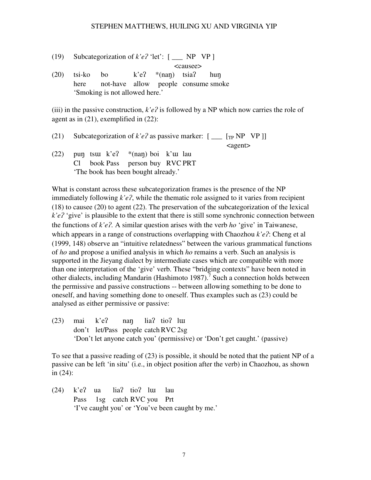(19) Subcategorization of  $k'e$ ? 'let':  $[\_\_\_\$  NP VP ]

<causee>

(20) tsi-ko bo  $k'e$ <sup>2</sup> \*(nan) tsia<sup>2</sup> hun here not-have allow people consume smoke 'Smoking is not allowed here.'

(iii) in the passive construction,  $k'e$ ? is followed by a NP which now carries the role of agent as in (21), exemplified in (22):

(21) Subcategorization of  $k'e$ ? as passive marker:  $[\_\_$  [<sub>TP</sub> NP VP ]] <agent> (22) pun tsu k'e?  $*(nan)$  boi k'u lau

 Cl book Pass person buy RVC PRT 'The book has been bought already.'

What is constant across these subcategorization frames is the presence of the NP immediately following  $k'e$ ?, while the thematic role assigned to it varies from recipient (18) to causee (20) to agent (22). The preservation of the subcategorization of the lexical  $k'e$ <sup>2</sup> 'give' is plausible to the extent that there is still some synchronic connection between the functions of  $k'e$ ?. A similar question arises with the verb *ho* 'give' in Taiwanese, which appears in a range of constructions overlapping with Chaozhou  $k'e$ ?: Cheng et al (1999, 148) observe an "intuitive relatedness" between the various grammatical functions of *ho* and propose a unified analysis in which *ho* remains a verb. Such an analysis is supported in the Jieyang dialect by intermediate cases which are compatible with more than one interpretation of the 'give' verb. These "bridging contexts" have been noted in other dialects, including Mandarin (Hashimoto 1987).<sup>7</sup> Such a connection holds between the permissive and passive constructions -- between allowing something to be done to oneself, and having something done to oneself. Thus examples such as (23) could be analysed as either permissive or passive:

 $(23)$  mai k'e? nan lia? tio? lui don't let/Pass people catch RVC 2sg 'Don't let anyone catch you' (permissive) or 'Don't get caught.' (passive)

To see that a passive reading of (23) is possible, it should be noted that the patient NP of a passive can be left 'in situ' (i.e., in object position after the verb) in Chaozhou, as shown in (24):

 $(24)$  k'e? ua lia? tio? luu lau Pass 1sg catch RVC you Prt 'I've caught you' or 'You've been caught by me.'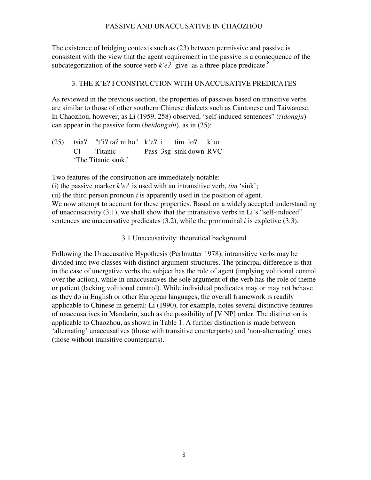The existence of bridging contexts such as (23) between permissive and passive is consistent with the view that the agent requirement in the passive is a consequence of the subcategorization of the source verb  $k'e$ ? 'give' as a three-place predicate.<sup>8</sup>

# 3. THE K'E? I CONSTRUCTION WITH UNACCUSATIVE PREDICATES

As reviewed in the previous section, the properties of passives based on transitive verbs are similar to those of other southern Chinese dialects such as Cantonese and Taiwanese. In Chaozhou, however, as Li (1959, 258) observed, "self-induced sentences" (*zidongju*) can appear in the passive form (*beidongshi*), as in (25):

 $(25)$  tsia? "t'i? ta? ni ho" k'e? i tim lo? k' $\mu$  Cl Titanic Pass 3sg sink down RVC 'The Titanic sank.'

Two features of the construction are immediately notable:

(i) the passive marker  $k'e$ ? is used with an intransitive verb,  $tim$  'sink';

(ii) the third person pronoun *i* is apparently used in the position of agent.

We now attempt to account for these properties. Based on a widely accepted understanding of unaccusativity (3.1), we shall show that the intransitive verbs in Li's "self-induced" sentences are unaccusative predicates (3.2), while the pronominal *i* is expletive (3.3).

3.1 Unaccusativity: theoretical background

Following the Unaccusative Hypothesis (Perlmutter 1978), intransitive verbs may be divided into two classes with distinct argument structures. The principal difference is that in the case of unergative verbs the subject has the role of agent (implying volitional control over the action), while in unaccusatives the sole argument of the verb has the role of theme or patient (lacking volitional control). While individual predicates may or may not behave as they do in English or other European languages, the overall framework is readily applicable to Chinese in general: Li (1990), for example, notes several distinctive features of unaccusatives in Mandarin, such as the possibility of [V NP] order. The distinction is applicable to Chaozhou, as shown in Table 1. A further distinction is made between 'alternating' unaccusatives (those with transitive counterparts) and 'non-alternating' ones (those without transitive counterparts).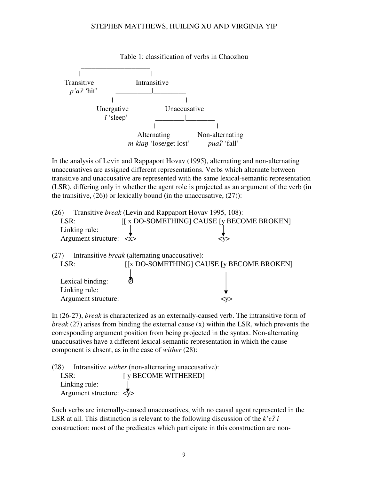

In the analysis of Levin and Rappaport Hovav (1995), alternating and non-alternating unaccusatives are assigned different representations. Verbs which alternate between transitive and unaccusative are represented with the same lexical-semantic representation (LSR), differing only in whether the agent role is projected as an argument of the verb (in the transitive,  $(26)$ ) or lexically bound (in the unaccusative,  $(27)$ ):

| (26) |                                         | Transitive <i>break</i> (Levin and Rappaport Hovav 1995, 108): |        |  |
|------|-----------------------------------------|----------------------------------------------------------------|--------|--|
| LSR: |                                         | [[ x DO-SOMETHING] CAUSE [y BECOME BROKEN]                     |        |  |
|      | Linking rule:                           |                                                                |        |  |
|      | Argument structure: $\langle x \rangle$ |                                                                | $<$ y> |  |
|      |                                         |                                                                |        |  |
| (27) |                                         | Intransitive <i>break</i> (alternating unaccusative):          |        |  |
| LSR: |                                         | [[x DO-SOMETHING] CAUSE [y BECOME BROKEN]                      |        |  |

| -----               | $\frac{1}{2}$ $\frac{1}{2}$ $\frac{1}{2}$ $\frac{1}{2}$ $\frac{1}{2}$ $\frac{1}{2}$ $\frac{1}{2}$ $\frac{1}{2}$ $\frac{1}{2}$ $\frac{1}{2}$ $\frac{1}{2}$ $\frac{1}{2}$ $\frac{1}{2}$ $\frac{1}{2}$ $\frac{1}{2}$ $\frac{1}{2}$ $\frac{1}{2}$ $\frac{1}{2}$ $\frac{1}{2}$ $\frac{1}{2}$ $\frac{1}{2}$ $\frac{1}{2}$ |       |
|---------------------|---------------------------------------------------------------------------------------------------------------------------------------------------------------------------------------------------------------------------------------------------------------------------------------------------------------------|-------|
|                     |                                                                                                                                                                                                                                                                                                                     |       |
| Lexical binding:    |                                                                                                                                                                                                                                                                                                                     |       |
| Linking rule:       |                                                                                                                                                                                                                                                                                                                     |       |
| Argument structure: |                                                                                                                                                                                                                                                                                                                     | ⊂ ∨ ⊃ |

In (26-27), *break* is characterized as an externally-caused verb. The intransitive form of *break* (27) arises from binding the external cause (x) within the LSR, which prevents the corresponding argument position from being projected in the syntax. Non-alternating unaccusatives have a different lexical-semantic representation in which the cause component is absent, as in the case of *wither* (28):

(28) Intransitive *wither* (non-alternating unaccusative): LSR: [ y BECOME WITHERED] Linking rule: Argument structure:  $\langle \nabla \rangle$ 

Such verbs are internally-caused unaccusatives, with no causal agent represented in the LSR at all. This distinction is relevant to the following discussion of the  $k'e$ ? *i* construction: most of the predicates which participate in this construction are non-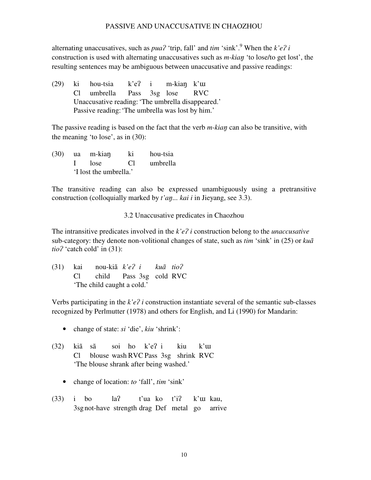alternating unaccusatives, such as  $pua^2$  'trip, fall' and  $tim$  'sink'.<sup>9</sup> When the  $k'e^2i$ construction is used with alternating unaccusatives such as *m-kian* 'to lose/to get lost', the resulting sentences may be ambiguous between unaccusative and passive readings:

 $(29)$  ki hou-tsia k'e? i m-kian k'uu Cl umbrella Pass 3sg lose RVC Unaccusative reading: 'The umbrella disappeared.' Passive reading: 'The umbrella was lost by him.'

The passive reading is based on the fact that the verb *m-kian* can also be transitive, with the meaning 'to lose', as in (30):

 $(30)$  ua m-kian ki hou-tsia I lose Cl umbrella 'I lost the umbrella.'

The transitive reading can also be expressed unambiguously using a pretransitive construction (colloquially marked by *t'an... kai i* in Jieyang, see 3.3).

3.2 Unaccusative predicates in Chaozhou

The intransitive predicates involved in the *k'e? i* construction belong to the *unaccusative* sub-category: they denote non-volitional changes of state, such as *tim* 'sink' in (25) or *kuã*   $tio$ <sup>2</sup> 'catch cold' in  $(31)$ :

|  | $(31)$ kai nou-kiã $k'e$ ? i kuã tio? |  |  |
|--|---------------------------------------|--|--|
|  | Cl child Pass 3sg cold RVC            |  |  |
|  | 'The child caught a cold.'            |  |  |

Verbs participating in the  $k'e$ ? *i* construction instantiate several of the semantic sub-classes recognized by Perlmutter (1978) and others for English, and Li (1990) for Mandarin:

- change of state: *si* 'die', *kiu* 'shrink':
- $(32)$  kiã sã soi ho k'e? i kiu k'uu Cl blouse wash RVC Pass 3sg shrink RVC 'The blouse shrank after being washed.'
	- change of location: *to* 'fall', *tim* 'sink'
- $(33)$  i bo la? t'ua ko t'i? k'uu kau, 3sg not-have strength drag Def metal go arrive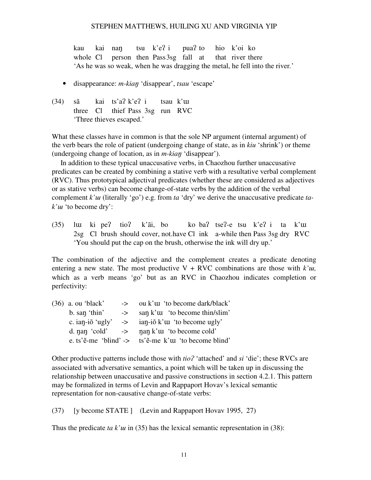kau kai nan tsu k'e? i pua? to hio k'oi ko whole Cl person then Pass 3sg fall at that river there 'As he was so weak, when he was dragging the metal, he fell into the river*.*'

- disappearance: *m-kian* 'disappear', *tsau* 'escape'
- $(34)$  sã kai ts'a $\chi$ k'e $\chi$  i tsau k'uu three Cl thief Pass 3sg run RVC 'Three thieves escaped.'

What these classes have in common is that the sole NP argument (internal argument) of the verb bears the role of patient (undergoing change of state, as in *kiu* 'shrink') or theme (undergoing change of location, as in *m-kian* 'disappear').

 In addition to these typical unaccusative verbs, in Chaozhou further unaccusative predicates can be created by combining a stative verb with a resultative verbal complement (RVC). Thus prototypical adjectival predicates (whether these are considered as adjectives or as stative verbs) can become change-of-state verbs by the addition of the verbal complement *k'uu* (literally 'go') e.g. from *ta* 'dry' we derive the unaccusative predicate *ta* $k<sup>'</sup>u<sup>'</sup>$  to become dry':

(35) luu ki pe? tio? k'ãi, bo ko ba? tse?-e tsu k'e? i ta k'uu 2sg Cl brush should cover, not.have Cl ink a-while then Pass 3sg dry RVC 'You should put the cap on the brush, otherwise the ink will dry up.'

The combination of the adjective and the complement creates a predicate denoting entering a new state. The most productive  $V + RVC$  combinations are those with  $k<sup>2</sup>u$ , which as a verb means 'go' but as an RVC in Chaozhou indicates completion or perfectivity:

| $(36)$ a. ou 'black'     | $\rightarrow$ | ou k'uu 'to become dark/black'                                                         |
|--------------------------|---------------|----------------------------------------------------------------------------------------|
| b. san 'thin'            | ->            | san k' u 'to become thin/slim'                                                         |
| c. ian-i $\delta$ 'ugly' |               | $\Rightarrow$ ian-iõ k'uu 'to become ugly'                                             |
|                          |               | d. nan 'cold' $\rightarrow$ nan k' u 'to become cold'                                  |
|                          |               | e. ts' $\tilde{e}$ -me 'blind' -> ts' $\tilde{e}$ -me k' $\tilde{u}$ 'to become blind' |

Other productive patterns include those with *tio*? 'attached' and *si* 'die'; these RVCs are associated with adversative semantics, a point which will be taken up in discussing the relationship between unaccusative and passive constructions in section 4.2.1. This pattern may be formalized in terms of Levin and Rappaport Hovav's lexical semantic representation for non-causative change-of-state verbs:

(37) [y become STATE ] (Levin and Rappaport Hovav 1995, 27)

Thus the predicate *ta k'u* in (35) has the lexical semantic representation in (38):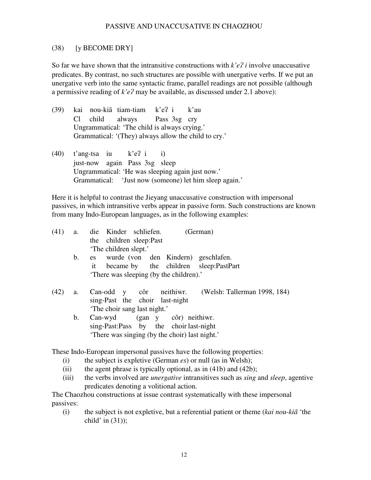## (38) [y BECOME DRY]

So far we have shown that the intransitive constructions with  $k'e$ ? *i* involve unaccusative predicates. By contrast, no such structures are possible with unergative verbs. If we put an unergative verb into the same syntactic frame, parallel readings are not possible (although a permissive reading of  $k'e$ ? may be available, as discussed under 2.1 above):

- $(39)$  kai nou-kiã tiam-tiam k'e? i k'au Cl child always Pass 3sg cry Ungrammatical: 'The child is always crying.' Grammatical: '(They) always allow the child to cry.'
- $(40)$  t'ang-tsa iu k'e? i i) just-now again Pass 3sg sleep Ungrammatical: 'He was sleeping again just now.' Grammatical: 'Just now (someone) let him sleep again.'

Here it is helpful to contrast the Jieyang unaccusative construction with impersonal passives, in which intransitive verbs appear in passive form. Such constructions are known from many Indo-European languages, as in the following examples:

| (41) | a.             | die Kinder schliefen.<br>(German)                                                         |
|------|----------------|-------------------------------------------------------------------------------------------|
|      |                | the children sleep:Past                                                                   |
|      |                | 'The children slept.'                                                                     |
|      | $\mathbf{b}$ . | es wurde (von den Kindern) geschlafen.                                                    |
|      |                | became by the children sleep:PastPart<br>it                                               |
|      |                | 'There was sleeping (by the children).'                                                   |
| (42) | a.             | (Welsh: Tallerman 1998, 184)<br>Can-odd y côr neithiwr.<br>sing-Past the choir last-night |
|      |                | 'The choir sang last night.'                                                              |
|      | b.             | Can-wyd (gan y côr) neithiwr.                                                             |
|      |                | sing-Past:Pass by the choir last-night                                                    |
|      |                | 'There was singing (by the choir) last night.'                                            |
|      |                |                                                                                           |

These Indo-European impersonal passives have the following properties:

- (i) the subject is expletive (German *es*) or null (as in Welsh);
- (ii) the agent phrase is typically optional, as in  $(41b)$  and  $(42b)$ ;
- (iii) the verbs involved are *unergative* intransitives such as *sing* and *sleep*, agentive predicates denoting a volitional action.

The Chaozhou constructions at issue contrast systematically with these impersonal passives:

(i) the subject is not expletive, but a referential patient or theme (*kai nou-kiã* 'the child' in  $(31)$ ;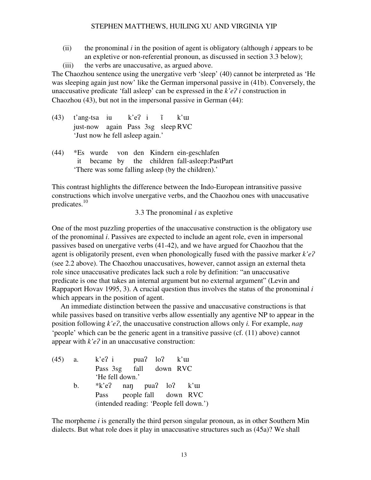- (ii) the pronominal *i* in the position of agent is obligatory (although *i* appears to be an expletive or non-referential pronoun, as discussed in section 3.3 below);
- (iii) the verbs are unaccusative, as argued above.

The Chaozhou sentence using the unergative verb 'sleep' (40) cannot be interpreted as 'He was sleeping again just now' like the German impersonal passive in (41b). Conversely, the unaccusative predicate 'fall asleep' can be expressed in the  $k'e$ ? *i* construction in Chaozhou (43), but not in the impersonal passive in German (44):

- $(43)$  t'ang-tsa iu k'e? i  $\tilde{i}$  k' $\tilde{u}$  just-now again Pass 3sg sleep RVC 'Just now he fell asleep again.'
- (44) \*Es wurde von den Kindern ein-geschlafen it became by the children fall-asleep:PastPart 'There was some falling asleep (by the children).'

This contrast highlights the difference between the Indo-European intransitive passive constructions which involve unergative verbs, and the Chaozhou ones with unaccusative predicates.<sup>10</sup>

3.3 The pronominal *i* as expletive

One of the most puzzling properties of the unaccusative construction is the obligatory use of the pronominal *i*. Passives are expected to include an agent role, even in impersonal passives based on unergative verbs (41-42), and we have argued for Chaozhou that the agent is obligatorily present, even when phonologically fused with the passive marker  $k'e$ ? (see 2.2 above). The Chaozhou unaccusatives, however, cannot assign an external theta role since unaccusative predicates lack such a role by definition: "an unaccusative predicate is one that takes an internal argument but no external argument" (Levin and Rappaport Hovav 1995, 3). A crucial question thus involves the status of the pronominal *i* which appears in the position of agent.

An immediate distinction between the passive and unaccusative constructions is that while passives based on transitive verbs allow essentially any agentive NP to appear in the position following  $k'e$ ?, the unaccusative construction allows only *i*. For example, *nan* 'people' which can be the generic agent in a transitive passive (cf. (11) above) cannot appear with  $k'e$ ? in an unaccusative construction:

| $(45)$ a. |    | $k'e$ ? i pua? $lo$ ? k' $u$            |  |  |  |
|-----------|----|-----------------------------------------|--|--|--|
|           |    | Pass 3sg fall down RVC                  |  |  |  |
|           |    | 'He fell down.'                         |  |  |  |
|           | b. | $*$ k'e? nan pua? lo? k' $\mu$          |  |  |  |
|           |    | Pass people fall down RVC               |  |  |  |
|           |    | (intended reading: 'People fell down.') |  |  |  |

The morpheme *i* is generally the third person singular pronoun, as in other Southern Min dialects. But what role does it play in unaccusative structures such as (45a)? We shall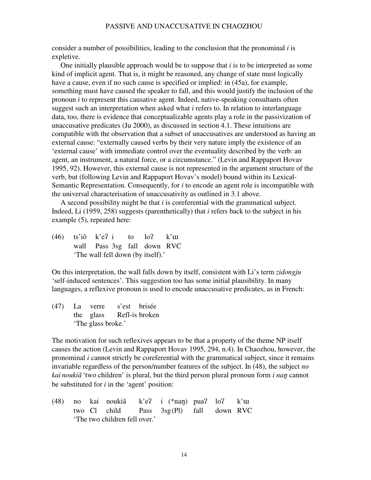consider a number of possibilities, leading to the conclusion that the pronominal *i* is expletive.

 One initially plausible approach would be to suppose that *i* is to be interpreted as some kind of implicit agent. That is, it might be reasoned, any change of state must logically have a cause, even if no such cause is specified or implied: in (45a), for example, something must have caused the speaker to fall, and this would justify the inclusion of the pronoun *i* to represent this causative agent. Indeed, native-speaking consultants often suggest such an interpretation when asked what *i* refers to. In relation to interlanguage data, too, there is evidence that conceptualizable agents play a role in the passivization of unaccusative predicates (Ju 2000), as discussed in section 4.1. These intuitions are compatible with the observation that a subset of unaccusatives are understood as having an external cause: "externally caused verbs by their very nature imply the existence of an 'external cause' with immediate control over the eventuality described by the verb: an agent, an instrument, a natural force, or a circumstance." (Levin and Rappaport Hovav 1995, 92). However, this external cause is not represented in the argument structure of the verb, but (following Levin and Rappaport Hovav's model) bound within its Lexical-Semantic Representation. Consequently, for *i* to encode an agent role is incompatible with the universal characterisation of unaccusativity as outlined in 3.1 above.

 A second possibility might be that *i* is coreferential with the grammatical subject. Indeed, Li (1959, 258) suggests (parenthetically) that *i* refers back to the subject in his example (5), repeated here:

 $(46)$  ts'iõ k'e? i to lo? k'uu wall Pass 3sg fall down RVC 'The wall fell down (by itself).'

On this interpretation, the wall falls down by itself, consistent with Li's term *zidongju* 'self-induced sentences'. This suggestion too has some initial plausibility. In many languages, a reflexive pronoun is used to encode unaccusative predicates, as in French:

(47) La verre s'est brisée the glass Refl-is broken 'The glass broke.'

The motivation for such reflexives appears to be that a property of the theme NP itself causes the action (Levin and Rappaport Hovav 1995, 294, n.4). In Chaozhou, however, the pronominal *i* cannot strictly be coreferential with the grammatical subject, since it remains invariable regardless of the person/number features of the subject. In (48), the subject *no kai noukiã* 'two children' is plural, but the third person plural pronoun form *i nan* cannot be substituted for *i* in the 'agent' position:

(48) no kai noukiã k'e? i (\*nan) pua?  $\log$  k'u two Cl child Pass 3sg (Pl) fall down RVC 'The two children fell over.'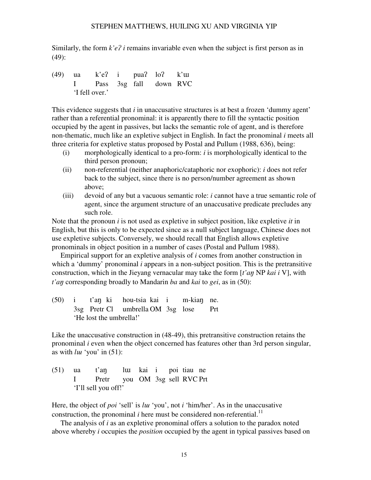Similarly, the form  $k'e$ ? *i* remains invariable even when the subject is first person as in (49):

 $(49)$  ua k'e? i pua? lo? k' $\mu$  I Pass 3sg fall down RVC 'I fell over.'

This evidence suggests that *i* in unaccusative structures is at best a frozen 'dummy agent' rather than a referential pronominal: it is apparently there to fill the syntactic position occupied by the agent in passives, but lacks the semantic role of agent, and is therefore non-thematic, much like an expletive subject in English. In fact the pronominal *i* meets all three criteria for expletive status proposed by Postal and Pullum (1988, 636), being:

- (i) morphologically identical to a pro-form: *i* is morphologically identical to the third person pronoun;
- (ii) non-referential (neither anaphoric/cataphoric nor exophoric): *i* does not refer back to the subject, since there is no person/number agreement as shown above;
- (iii) devoid of any but a vacuous semantic role: *i* cannot have a true semantic role of agent, since the argument structure of an unaccusative predicate precludes any such role.

Note that the pronoun *i* is not used as expletive in subject position, like expletive *it* in English, but this is only to be expected since as a null subject language, Chinese does not use expletive subjects. Conversely, we should recall that English allows expletive pronominals in object position in a number of cases (Postal and Pullum 1988).

Empirical support for an expletive analysis of *i* comes from another construction in which a 'dummy' pronominal *i* appears in a non-subject position. This is the pretransitive construction, which in the Jieyang vernacular may take the form [*t'an* NP *kai i* V], with *t'an* corresponding broadly to Mandarin *ba* and *kai* to *gei*, as in (50):

 $(50)$  i t'an ki hou-tsia kai i m-kian ne. 3sg Pretr Cl umbrella OM 3sg lose Prt 'He lost the umbrella!'

Like the unaccusative construction in (48-49), this pretransitive construction retains the pronominal *i* even when the object concerned has features other than 3rd person singular, as with  $luu$  'you' in (51):

 $(51)$  ua t'an lui kai i poi tiau ne I Pretr you OM 3sg sell RVC Prt 'I'll sell you off!'

Here, the object of *poi* 'sell' is *lui* 'you', not *i* 'him/her'. As in the unaccusative construction, the pronominal  $i$  here must be considered non-referential.<sup>11</sup>

The analysis of *i* as an expletive pronominal offers a solution to the paradox noted above whereby *i* occupies the *position* occupied by the agent in typical passives based on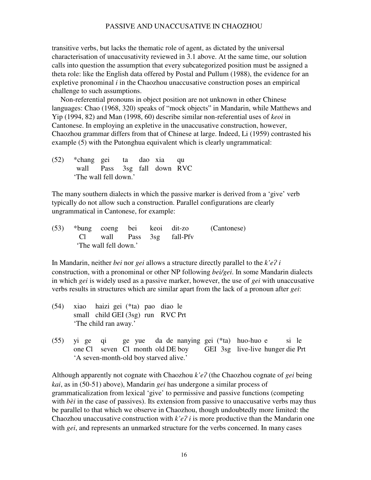transitive verbs, but lacks the thematic role of agent, as dictated by the universal characterisation of unaccusativity reviewed in 3.1 above. At the same time, our solution calls into question the assumption that every subcategorized position must be assigned a theta role: like the English data offered by Postal and Pullum (1988), the evidence for an expletive pronominal *i* in the Chaozhou unaccusative construction poses an empirical challenge to such assumptions.

Non-referential pronouns in object position are not unknown in other Chinese languages: Chao (1968, 320) speaks of "mock objects" in Mandarin, while Matthews and Yip (1994, 82) and Man (1998, 60) describe similar non-referential uses of *keoi* in Cantonese. In employing an expletive in the unaccusative construction, however, Chaozhou grammar differs from that of Chinese at large. Indeed, Li (1959) contrasted his example (5) with the Putonghua equivalent which is clearly ungrammatical:

(52) \*chang gei ta dao xia qu wall Pass 3sg fall down RVC 'The wall fell down.'

The many southern dialects in which the passive marker is derived from a 'give' verb typically do not allow such a construction. Parallel configurations are clearly ungrammatical in Cantonese, for example:

(53) \*bung coeng bei keoi dit-zo (Cantonese) Cl wall Pass 3sg fall-Pfv 'The wall fell down.'

In Mandarin, neither *bei* nor *gei* allows a structure directly parallel to the  $k'e$ ? *i* construction, with a pronominal or other NP following *bei/gei*. In some Mandarin dialects in which *gei* is widely used as a passive marker, however, the use of *gei* with unaccusative verbs results in structures which are similar apart from the lack of a pronoun after *gei*:

- (54) xiao haizi gei (\*ta) pao diao le small child GEI (3sg) run RVC Prt 'The child ran away.'
- (55) yi ge qi ge yue da de nanying gei (\*ta) huo-huo e si le one Cl seven Cl month old DE boy GEI 3sg live-live hunger die Prt 'A seven-month-old boy starved alive.'

Although apparently not cognate with Chaozhou *k'e?* (the Chaozhou cognate of *gei* being *kai*, as in (50-51) above), Mandarin *gei* has undergone a similar process of grammaticalization from lexical 'give' to permissive and passive functions (competing with *bèi* in the case of passives). Its extension from passive to unaccusative verbs may thus be parallel to that which we observe in Chaozhou, though undoubtedly more limited: the Chaozhou unaccusative construction with  $k'e$ ? *i* is more productive than the Mandarin one with *gei*, and represents an unmarked structure for the verbs concerned. In many cases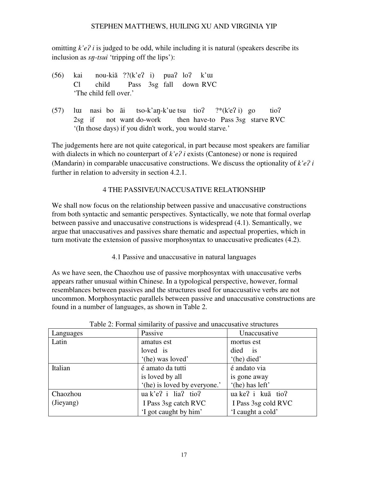omitting  $k'e$ ? *i* is judged to be odd, while including it is natural (speakers describe its inclusion as *sn-tsui* 'tripping off the lips'):

- $(56)$  kai nou-kiã ??(k'e? i) pua? lo? k'uu Cl child Pass 3sg fall down RVC 'The child fell over.'
- (57) luu nasi bo ãi tso-k'an-k'ue tsu tio?  $?*(k'e? i)$  go tio? 2sg if not want do-work then have-to Pass 3sg starve RVC '(In those days) if you didn't work, you would starve*.*'

The judgements here are not quite categorical, in part because most speakers are familiar with dialects in which no counterpart of  $k'e$ ? *i* exists (Cantonese) or none is required (Mandarin) in comparable unaccusative constructions. We discuss the optionality of  $k'e$ ? *i* further in relation to adversity in section 4.2.1.

# 4 THE PASSIVE/UNACCUSATIVE RELATIONSHIP

We shall now focus on the relationship between passive and unaccusative constructions from both syntactic and semantic perspectives. Syntactically, we note that formal overlap between passive and unaccusative constructions is widespread (4.1). Semantically, we argue that unaccusatives and passives share thematic and aspectual properties, which in turn motivate the extension of passive morphosyntax to unaccusative predicates (4.2).

4.1 Passive and unaccusative in natural languages

As we have seen, the Chaozhou use of passive morphosyntax with unaccusative verbs appears rather unusual within Chinese. In a typological perspective, however, formal resemblances between passives and the structures used for unaccusative verbs are not uncommon. Morphosyntactic parallels between passive and unaccusative constructions are found in a number of languages, as shown in Table 2.

| Languages | Passive                      | Unaccusative        |
|-----------|------------------------------|---------------------|
| Latin     | amatus est                   | mortus est          |
|           | loved is                     | died is             |
|           | '(he) was loved'             | '(he) died'         |
| Italian   | é amato da tutti             | é andato via        |
|           | is loved by all              | is gone away        |
|           | '(he) is loved by everyone.' | '(he) has left'     |
| Chaozhou  | $\alpha$ k'e? i lia? tio?    | ua ke? i kuã tio?   |
| (Jieyang) | I Pass 3sg catch RVC         | I Pass 3sg cold RVC |
|           | 'I got caught by him'        | 'I caught a cold'   |

Table 2: Formal similarity of passive and unaccusative structures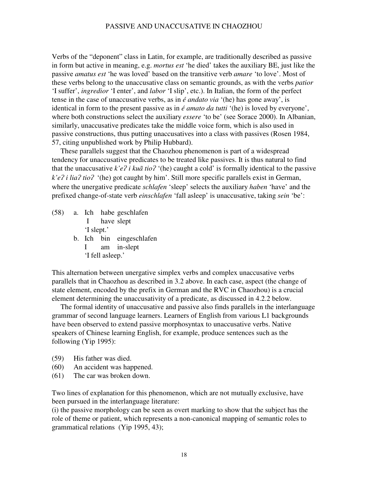Verbs of the "deponent" class in Latin, for example, are traditionally described as passive in form but active in meaning, e.g. *mortus est* 'he died' takes the auxiliary BE, just like the passive *amatus est* 'he was loved' based on the transitive verb *amare* 'to love'. Most of these verbs belong to the unaccusative class on semantic grounds, as with the verbs *patior* 'I suffer', *ingredior* 'I enter', and *labor* 'I slip', etc.). In Italian, the form of the perfect tense in the case of unaccusative verbs, as in *é andato via* '(he) has gone away', is identical in form to the present passive as in *é amato da tutti* '(he) is loved by everyone', where both constructions select the auxiliary *essere* 'to be' (see Sorace 2000). In Albanian, similarly, unaccusative predicates take the middle voice form, which is also used in passive constructions, thus putting unaccusatives into a class with passives (Rosen 1984, 57, citing unpublished work by Philip Hubbard).

These parallels suggest that the Chaozhou phenomenon is part of a widespread tendency for unaccusative predicates to be treated like passives. It is thus natural to find that the unaccusative  $k'e$ ? *i* ku $\tilde{a}$  tio? '(he) caught a cold' is formally identical to the passive *k'e? i lia? tio?* '(he) got caught by him'. Still more specific parallels exist in German, where the unergative predicate *schlafen* 'sleep' selects the auxiliary *haben* 'have' and the prefixed change-of-state verb *einschlafen* 'fall asleep' is unaccusative, taking *sein* 'be':

(58) a. Ich habe geschlafen I have slept 'I slept.' b. Ich bin eingeschlafen I am in-slept 'I fell asleep.'

This alternation between unergative simplex verbs and complex unaccusative verbs parallels that in Chaozhou as described in 3.2 above. In each case, aspect (the change of state element, encoded by the prefix in German and the RVC in Chaozhou) is a crucial element determining the unaccusativity of a predicate, as discussed in 4.2.2 below.

The formal identity of unaccusative and passive also finds parallels in the interlanguage grammar of second language learners. Learners of English from various L1 backgrounds have been observed to extend passive morphosyntax to unaccusative verbs. Native speakers of Chinese learning English, for example, produce sentences such as the following (Yip 1995):

- (59) His father was died.
- (60) An accident was happened.
- (61) The car was broken down.

Two lines of explanation for this phenomenon, which are not mutually exclusive, have been pursued in the interlanguage literature:

(i) the passive morphology can be seen as overt marking to show that the subject has the role of theme or patient, which represents a non-canonical mapping of semantic roles to grammatical relations (Yip 1995, 43);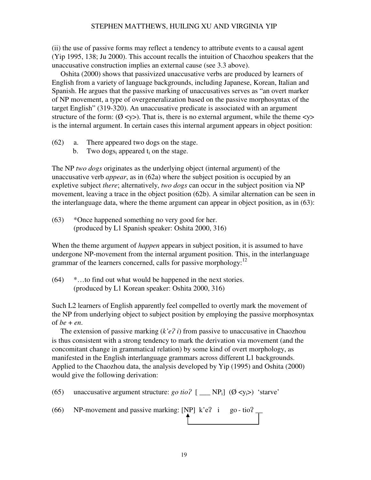(ii) the use of passive forms may reflect a tendency to attribute events to a causal agent (Yip 1995, 138; Ju 2000). This account recalls the intuition of Chaozhou speakers that the unaccusative construction implies an external cause (see 3.3 above).

Oshita (2000) shows that passivized unaccusative verbs are produced by learners of English from a variety of language backgrounds, including Japanese, Korean, Italian and Spanish. He argues that the passive marking of unaccusatives serves as "an overt marker of NP movement, a type of overgeneralization based on the passive morphosyntax of the target English" (319-320). An unaccusative predicate is associated with an argument structure of the form:  $(\emptyset \le y)$ . That is, there is no external argument, while the theme  $\le y$ is the internal argument. In certain cases this internal argument appears in object position:

- (62) a. There appeared two dogs on the stage.
	- b. Two dogs<sub>i</sub> appeared  $t_i$  on the stage.

The NP *two dogs* originates as the underlying object (internal argument) of the unaccusative verb *appear*, as in (62a) where the subject position is occupied by an expletive subject *there*; alternatively, *two dogs* can occur in the subject position via NP movement, leaving a trace in the object position (62b). A similar alternation can be seen in the interlanguage data, where the theme argument can appear in object position, as in (63):

(63) \*Once happened something no very good for her. (produced by L1 Spanish speaker: Oshita 2000, 316)

When the theme argument of *happen* appears in subject position, it is assumed to have undergone NP-movement from the internal argument position. This, in the interlanguage grammar of the learners concerned, calls for passive morphology: $^{12}$ 

(64) \*…to find out what would be happened in the next stories. (produced by L1 Korean speaker: Oshita 2000, 316)

Such L2 learners of English apparently feel compelled to overtly mark the movement of the NP from underlying object to subject position by employing the passive morphosyntax of  $be + en$ .

The extension of passive marking  $(k'e\hat{i})$  from passive to unaccusative in Chaozhou is thus consistent with a strong tendency to mark the derivation via movement (and the concomitant change in grammatical relation) by some kind of overt morphology, as manifested in the English interlanguage grammars across different L1 backgrounds. Applied to the Chaozhou data, the analysis developed by Yip (1995) and Oshita (2000) would give the following derivation:

(65) unaccusative argument structure: *go tio*?  $[\_\_\]$  ( $\emptyset$  <y<sub>i</sub>>) 'starve'

(66) NP-movement and passive marking: [NP]  $k'e$ ? i go-tio?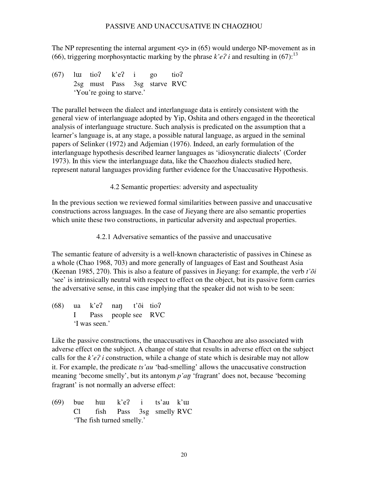The NP representing the internal argument  $\langle \psi \rangle$  in (65) would undergo NP-movement as in (66), triggering morphosyntactic marking by the phrase  $k'e$ ? *i* and resulting in (67):<sup>13</sup>

 $(67)$  luu tio? k'e? i go tio? 2sg must Pass 3sg starve RVC 'You're going to starve.'

The parallel between the dialect and interlanguage data is entirely consistent with the general view of interlanguage adopted by Yip, Oshita and others engaged in the theoretical analysis of interlanguage structure. Such analysis is predicated on the assumption that a learner's language is, at any stage, a possible natural language, as argued in the seminal papers of Selinker (1972) and Adjemian (1976). Indeed, an early formulation of the interlanguage hypothesis described learner languages as 'idiosyncratic dialects' (Corder 1973). In this view the interlanguage data, like the Chaozhou dialects studied here, represent natural languages providing further evidence for the Unaccusative Hypothesis.

4.2 Semantic properties: adversity and aspectuality

In the previous section we reviewed formal similarities between passive and unaccusative constructions across languages. In the case of Jieyang there are also semantic properties which unite these two constructions, in particular adversity and aspectual properties.

4.2.1 Adversative semantics of the passive and unaccusative

The semantic feature of adversity is a well-known characteristic of passives in Chinese as a whole (Chao 1968, 703) and more generally of languages of East and Southeast Asia (Keenan 1985, 270). This is also a feature of passives in Jieyang: for example, the verb *t'õi* 'see' is intrinsically neutral with respect to effect on the object, but its passive form carries the adversative sense, in this case implying that the speaker did not wish to be seen:

 $(68)$  ua k'e? nan t'õi tio? I Pass people see RVC 'I was seen.'

Like the passive constructions, the unaccusatives in Chaozhou are also associated with adverse effect on the subject. A change of state that results in adverse effect on the subject calls for the  $k'e$ ? *i* construction, while a change of state which is desirable may not allow it. For example, the predicate *ts'au* 'bad-smelling' allows the unaccusative construction meaning 'become smelly', but its antonym *p'an* 'fragrant' does not, because 'becoming fragrant' is not normally an adverse effect:

 $(69)$  bue hu k'e? i ts'au k'uu Cl fish Pass 3sg smelly RVC 'The fish turned smelly.'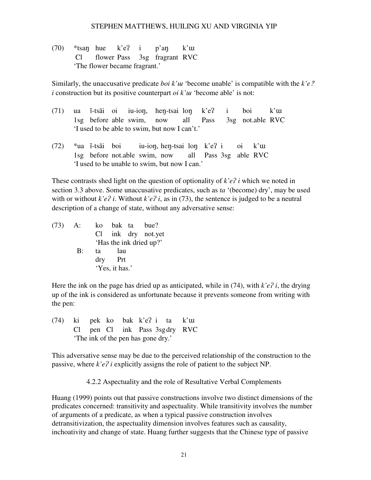(70)  $*$ tsan hue k'e? i p'an k'uu Cl flower Pass 3sg fragrant RVC 'The flower became fragrant.'

Similarly, the unaccusative predicate *boi k'uu* 'become unable' is compatible with the  $k'e$ ?  $i$  construction but its positive counterpart *oi*  $k'u$  'become able' is not:

- $(71)$  ua ĩ-tsãi oi iu-ion, hen-tsai lon k'e? i boi k'uu 1sg before able swim, now all Pass 3sg not.able RVC 'I used to be able to swim, but now I can't.'
- $(72)$  \*ua ĩ-tsãi boi iu-ion, hen-tsai lon k'e? i oi k'uu 1sg before not.able swim, now all Pass 3sg able RVC 'I used to be unable to swim, but now I can.'

These contrasts shed light on the question of optionality of  $k'e$ ? *i* which we noted in section 3.3 above. Some unaccusative predicates, such as *ta* '(become) dry', may be used with or without  $k'e$ ? *i*. Without  $k'e$ ? *i*, as in (73), the sentence is judged to be a neutral description of a change of state, without any adversative sense:

(73) A: ko bak ta bue? Cl ink dry not.yet 'Has the ink dried up?' B: ta lau dry Prt 'Yes, it has.'

Here the ink on the page has dried up as anticipated, while in  $(74)$ , with  $k'e$ ? *i*, the drying up of the ink is considered as unfortunate because it prevents someone from writing with the pen:

 $(74)$  ki pek ko bak k'e? i ta k'uu Cl pen Cl ink Pass 3sg dry RVC 'The ink of the pen has gone dry.'

This adversative sense may be due to the perceived relationship of the construction to the passive, where  $k'e$ <sup> $\hat{i}$ </sup> explicitly assigns the role of patient to the subject NP.

4.2.2 Aspectuality and the role of Resultative Verbal Complements

Huang (1999) points out that passive constructions involve two distinct dimensions of the predicates concerned: transitivity and aspectuality. While transitivity involves the number of arguments of a predicate, as when a typical passive construction involves detransitivization, the aspectuality dimension involves features such as causality, inchoativity and change of state. Huang further suggests that the Chinese type of passive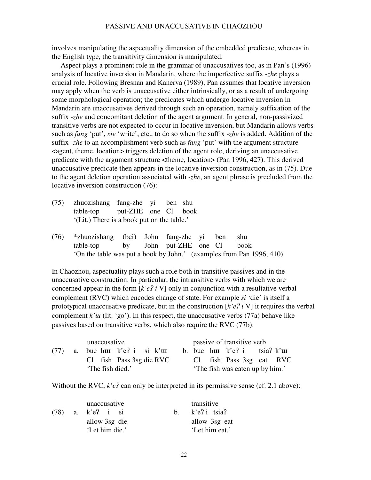involves manipulating the aspectuality dimension of the embedded predicate, whereas in the English type, the transitivity dimension is manipulated.

Aspect plays a prominent role in the grammar of unaccusatives too, as in Pan's (1996) analysis of locative inversion in Mandarin, where the imperfective suffix -*zhe* plays a crucial role. Following Bresnan and Kanerva (1989), Pan assumes that locative inversion may apply when the verb is unaccusative either intrinsically, or as a result of undergoing some morphological operation; the predicates which undergo locative inversion in Mandarin are unaccusatives derived through such an operation, namely suffixation of the suffix *-zhe* and concomitant deletion of the agent argument. In general, non-passivized transitive verbs are not expected to occur in locative inversion, but Mandarin allows verbs such as *fang* 'put', *xie* 'write', etc., to do so when the suffix *-zhe* is added. Addition of the suffix -*zhe* to an accomplishment verb such as *fang* 'put' with the argument structure  $\epsilon$  <agent, theme, location $\epsilon$  triggers deletion of the agent role, deriving an unaccusative predicate with the argument structure <theme, location> (Pan 1996, 427). This derived unaccusative predicate then appears in the locative inversion construction, as in (75). Due to the agent deletion operation associated with *-zhe*, an agent phrase is precluded from the locative inversion construction (76):

- (75) zhuozishang fang-zhe yi ben shu table-top put-ZHE one Cl book '(Lit.) There is a book put on the table.'
- (76) \*zhuozishang (bei) John fang-zhe yi ben shu table-top by John put-ZHE one Cl book 'On the table was put a book by John.' (examples from Pan 1996, 410)

In Chaozhou, aspectuality plays such a role both in transitive passives and in the unaccusative construction. In particular, the intransitive verbs with which we are concerned appear in the form  $[k'e\hat{i}]$  v] only in conjunction with a resultative verbal complement (RVC) which encodes change of state. For example *si* 'die' is itself a prototypical unaccusative predicate, but in the construction  $[k'e\hat{i} V]$  it requires the verbal complement  $k'u$  (lit. 'go'). In this respect, the unaccusative verbs (77a) behave like passives based on transitive verbs, which also require the RVC (77b):

|      |  | unaccusative              |  |                            |  |  | passive of transitive verb |                                  |                          |
|------|--|---------------------------|--|----------------------------|--|--|----------------------------|----------------------------------|--------------------------|
| (77) |  | a. bue huu k'e? i si k'uu |  |                            |  |  |                            | b. bue hui $k'e$ ? i tsia? $k'u$ |                          |
|      |  |                           |  | $Cl$ fish Pass 3sg die RVC |  |  |                            |                                  | Cl fish Pass 3sg eat RVC |
|      |  | 'The fish died.'          |  |                            |  |  |                            | 'The fish was eaten up by him.'  |                          |

Without the RVC,  $k'e$ ? can only be interpreted in its permissive sense (cf. 2.1 above):

| (78) | unaccusative<br>a. k'e? i si    | transitive<br>b. $k'e$ ? i tsia? |
|------|---------------------------------|----------------------------------|
|      | allow 3sg die<br>'Let him die.' | allow 3sg eat<br>'Let him eat.'  |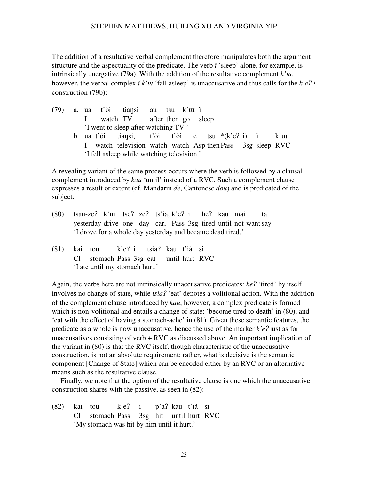The addition of a resultative verbal complement therefore manipulates both the argument structure and the aspectuality of the predicate. The verb  $\tilde{i}$  'sleep' alone, for example, is intrinsically unergative (79a). With the addition of the resultative complement  $k<sup>2</sup>u$ , however, the verbal complex  $\tilde{i} k'u$  'fall asleep' is unaccusative and thus calls for the  $k'e$ ? *i* construction (79b):

 $(79)$  a. ua t'õi tiansi au tsu k'uu  $\tilde{i}$  I watch TV after then go sleep 'I went to sleep after watching TV.' b. ua t'õi tiansi, t'õi t'õi e tsu  $(k'e$ ? i) ĩ k'uu I watch television watch watch Asp then Pass 3sg sleep RVC 'I fell asleep while watching television.'

A revealing variant of the same process occurs where the verb is followed by a clausal complement introduced by *kau* 'until' instead of a RVC. Such a complement clause expresses a result or extent (cf. Mandarin *de*, Cantonese *dou*) and is predicated of the subject:

- (80) tsau-ze? k'ui tse? ze? ts'ia, k'e? i he? kau mãi tã yesterday drive one day car, Pass 3sg tired until not-want say 'I drove for a whole day yesterday and became dead tired.'
- (81) kai tou k'e? i tsia? kau t'iã si Cl stomach Pass 3sg eat until hurt RVC 'I ate until my stomach hurt.'

Again, the verbs here are not intrinsically unaccusative predicates: *he?* 'tired' by itself involves no change of state, while  $tsia<sup>2</sup>$  'eat' denotes a volitional action. With the addition of the complement clause introduced by *kau*, however, a complex predicate is formed which is non-volitional and entails a change of state: 'become tired to death' in (80), and 'eat with the effect of having a stomach-ache' in (81). Given these semantic features, the predicate as a whole is now unaccusative, hence the use of the marker  $k'e$ ? just as for unaccusatives consisting of verb  $+ RVC$  as discussed above. An important implication of the variant in (80) is that the RVC itself, though characteristic of the unaccusative construction, is not an absolute requirement; rather, what is decisive is the semantic component [Change of State] which can be encoded either by an RVC or an alternative means such as the resultative clause.

Finally, we note that the option of the resultative clause is one which the unaccusative construction shares with the passive, as seen in (82):

(82) kai tou k'e? i p'a? kau t'iã si Cl stomach Pass 3sg hit until hurt RVC 'My stomach was hit by him until it hurt.'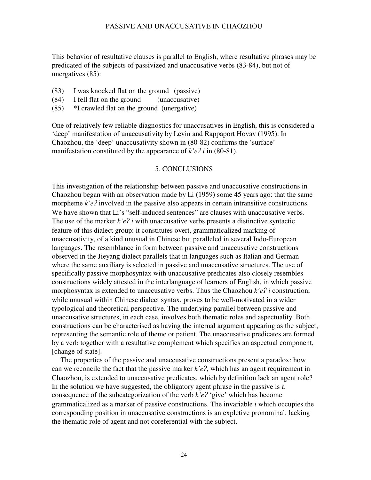This behavior of resultative clauses is parallel to English, where resultative phrases may be predicated of the subjects of passivized and unaccusative verbs (83-84), but not of unergatives (85):

- (83) I was knocked flat on the ground (passive)
- (84) I fell flat on the ground (unaccusative)
- (85) \*I crawled flat on the ground (unergative)

One of relatively few reliable diagnostics for unaccusatives in English, this is considered a 'deep' manifestation of unaccusativity by Levin and Rappaport Hovav (1995). In Chaozhou, the 'deep' unaccusativity shown in (80-82) confirms the 'surface' manifestation constituted by the appearance of  $k'e$ ? *i* in (80-81).

#### 5. CONCLUSIONS

This investigation of the relationship between passive and unaccusative constructions in Chaozhou began with an observation made by Li (1959) some 45 years ago: that the same morpheme  $k'e$ ? involved in the passive also appears in certain intransitive constructions. We have shown that Li's "self-induced sentences" are clauses with unaccusative verbs. The use of the marker  $k'e\hat{i}$  i with unaccusative verbs presents a distinctive syntactic feature of this dialect group: it constitutes overt, grammaticalized marking of unaccusativity, of a kind unusual in Chinese but paralleled in several Indo-European languages. The resemblance in form between passive and unaccusative constructions observed in the Jieyang dialect parallels that in languages such as Italian and German where the same auxiliary is selected in passive and unaccusative structures. The use of specifically passive morphosyntax with unaccusative predicates also closely resembles constructions widely attested in the interlanguage of learners of English, in which passive morphosyntax is extended to unaccusative verbs. Thus the Chaozhou  $k'e$ ? *i* construction, while unusual within Chinese dialect syntax, proves to be well-motivated in a wider typological and theoretical perspective. The underlying parallel between passive and unaccusative structures, in each case, involves both thematic roles and aspectuality. Both constructions can be characterised as having the internal argument appearing as the subject, representing the semantic role of theme or patient. The unaccusative predicates are formed by a verb together with a resultative complement which specifies an aspectual component, [change of state].

The properties of the passive and unaccusative constructions present a paradox: how can we reconcile the fact that the passive marker  $k'e\hat{z}$ , which has an agent requirement in Chaozhou, is extended to unaccusative predicates, which by definition lack an agent role? In the solution we have suggested, the obligatory agent phrase in the passive is a consequence of the subcategorization of the verb  $k'e$ <sup>2</sup> 'give' which has become grammaticalized as a marker of passive constructions. The invariable *i* which occupies the corresponding position in unaccusative constructions is an expletive pronominal, lacking the thematic role of agent and not coreferential with the subject.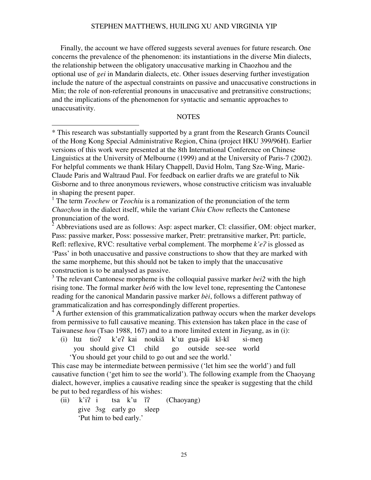Finally, the account we have offered suggests several avenues for future research. One concerns the prevalence of the phenomenon: its instantiations in the diverse Min dialects, the relationship between the obligatory unaccusative marking in Chaozhou and the optional use of *gei* in Mandarin dialects, etc. Other issues deserving further investigation include the nature of the aspectual constraints on passive and unaccusative constructions in Min; the role of non-referential pronouns in unaccusative and pretransitive constructions; and the implications of the phenomenon for syntactic and semantic approaches to unaccusativity.

## **NOTES**

\* This research was substantially supported by a grant from the Research Grants Council of the Hong Kong Special Administrative Region, China (project HKU 399/96H). Earlier versions of this work were presented at the 8th International Conference on Chinese Linguistics at the University of Melbourne (1999) and at the University of Paris-7 (2002). For helpful comments we thank Hilary Chappell, David Holm, Tang Sze-Wing, Marie-Claude Paris and Waltraud Paul. For feedback on earlier drafts we are grateful to Nik Gisborne and to three anonymous reviewers, whose constructive criticism was invaluable in shaping the present paper.

<sup>1</sup> The term *Teochew* or *Teochiu* is a romanization of the pronunciation of the term *Chaozhou* in the dialect itself, while the variant *Chiu Chow* reflects the Cantonese pronunciation of the word.

 $^2$  Abbreviations used are as follows: Asp: aspect marker, Cl: classifier, OM: object marker, Pass: passive marker, Poss: possessive marker, Pretr: pretransitive marker, Prt: particle, Refl: reflexive, RVC: resultative verbal complement. The morpheme  $k'e$ ? is glossed as 'Pass' in both unaccusative and passive constructions to show that they are marked with the same morpheme, but this should not be taken to imply that the unaccusative construction is to be analysed as passive.

3 The relevant Cantonese morpheme is the colloquial passive marker *bei2* with the high rising tone. The formal marker *bei6* with the low level tone, representing the Cantonese reading for the canonical Mandarin passive marker *bèi*, follows a different pathway of grammaticalization and has correspondingly different properties.<br><sup>4</sup> A further extension of this grammaticalization pathway ecours **v** 

 A further extension of this grammaticalization pathway occurs when the marker develops from permissive to full causative meaning. This extension has taken place in the case of Taiwanese *hou* (Tsao 1988, 167) and to a more limited extent in Jieyang, as in (i):

 $(i)$  luu tio? k'e? kai noukiã k'uu gua-pãi kĩ-kĩ si-men you should give Cl child go outside see-see world 'You should get your child to go out and see the world.'

This case may be intermediate between permissive ('let him see the world') and full causative function ('get him to see the world'). The following example from the Chaoyang dialect, however, implies a causative reading since the speaker is suggesting that the child be put to bed regardless of his wishes:

 $(ii)$  k'i? i tsa k'u  $i$ ? (Chaoyang) give 3sg early go sleep 'Put him to bed early.'

 $\overline{a}$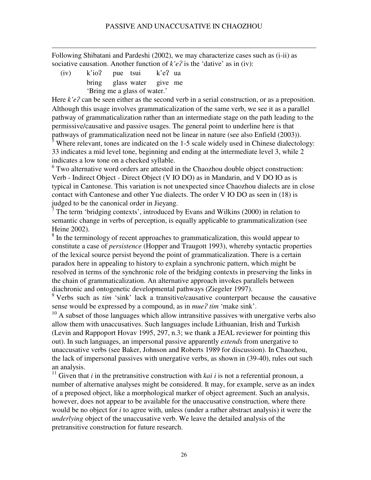Following Shibatani and Pardeshi (2002), we may characterize cases such as (i-ii) as sociative causation. Another function of  $k'e$ ? is the 'dative' as in (iv):

 $(iv)$  k'io? pue tsui k'e? ua bring glass water give me 'Bring me a glass of water.'

 $\overline{a}$ 

Here  $k'e$ ? can be seen either as the second verb in a serial construction, or as a preposition. Although this usage involves grammaticalization of the same verb, we see it as a parallel pathway of grammaticalization rather than an intermediate stage on the path leading to the permissive/causative and passive usages. The general point to underline here is that pathways of grammaticalization need not be linear in nature (see also Enfield (2003)).

 $\frac{5}{3}$  Where relevant, tones are indicated on the 1-5 scale widely used in Chinese dialectology: 33 indicates a mid level tone, beginning and ending at the intermediate level 3, while 2 indicates a low tone on a checked syllable.

 $6$  Two alternative word orders are attested in the Chaozhou double object construction: Verb - Indirect Object - Direct Object (V IO DO) as in Mandarin, and V DO IO as is typical in Cantonese. This variation is not unexpected since Chaozhou dialects are in close contact with Cantonese and other Yue dialects. The order V IO DO as seen in (18) is judged to be the canonical order in Jieyang.

 $7$  The term 'bridging contexts', introduced by Evans and Wilkins (2000) in relation to semantic change in verbs of perception, is equally applicable to grammaticalization (see Heine 2002).

<sup>8</sup> In the terminology of recent approaches to grammaticalization, this would appear to constitute a case of *persistence* (Hopper and Traugott 1993), whereby syntactic properties of the lexical source persist beyond the point of grammaticalization. There is a certain paradox here in appealing to history to explain a synchronic pattern, which might be resolved in terms of the synchronic role of the bridging contexts in preserving the links in the chain of grammaticalization. An alternative approach invokes parallels between diachronic and ontogenetic developmental pathways (Ziegeler 1997).

<sup>9</sup> Verbs such as *tim* 'sink' lack a transitive/causative counterpart because the causative sense would be expressed by a compound, as in *mue? tim* 'make sink'.

 $10$  A subset of those languages which allow intransitive passives with unergative verbs also allow them with unaccusatives. Such languages include Lithuanian, Irish and Turkish (Levin and Rappoport Hovav 1995, 297, n.3; we thank a JEAL reviewer for pointing this out). In such languages, an impersonal passive apparently *extends* from unergative to unaccusative verbs (see Baker, Johnson and Roberts 1989 for discussion). In Chaozhou, the lack of impersonal passives with unergative verbs, as shown in (39-40), rules out such an analysis.

<sup>11</sup> Given that *i* in the pretransitive construction with *kai i* is not a referential pronoun, a number of alternative analyses might be considered. It may, for example, serve as an index of a preposed object, like a morphological marker of object agreement. Such an analysis, however, does not appear to be available for the unaccusative construction, where there would be no object for *i* to agree with, unless (under a rather abstract analysis) it were the *underlying* object of the unaccusative verb. We leave the detailed analysis of the pretransitive construction for future research.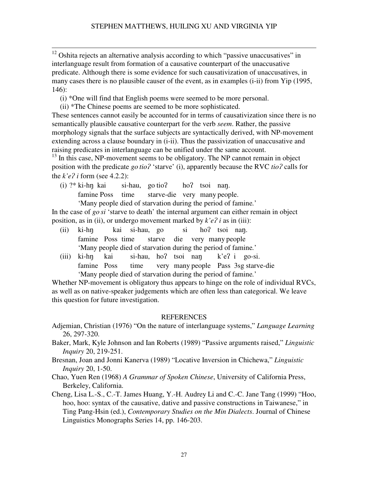$\overline{a}$  $12$  Oshita rejects an alternative analysis according to which "passive unaccusatives" in interlanguage result from formation of a causative counterpart of the unaccusative predicate. Although there is some evidence for such causativization of unaccusatives, in many cases there is no plausible causer of the event, as in examples (i-ii) from Yip (1995, 146):

- (i) \*One will find that English poems were seemed to be more personal.
- (ii) \*The Chinese poems are seemed to be more sophisticated.

These sentences cannot easily be accounted for in terms of causativization since there is no semantically plausible causative counterpart for the verb *seem*. Rather, the passive morphology signals that the surface subjects are syntactically derived, with NP-movement extending across a clause boundary in (i-ii). Thus the passivization of unaccusative and raising predicates in interlanguage can be unified under the same account.

 $13$  In this case, NP-movement seems to be obligatory. The NP cannot remain in object position with the predicate *go tio*? 'starve' (i), apparently because the RVC *tio*? calls for the  $k'e$ ? *i* form (see 4.2.2):

(i)  $?^*$  ki-hn kai si-hau, go tio? ho? tsoi nan. famine Poss time starve-die very many people. 'Many people died of starvation during the period of famine*.*'

In the case of *go si* 'starve to death' the internal argument can either remain in object position, as in (ii), or undergo movement marked by  $k'e$ ? *i* as in (iii):

- $(ii)$  ki-hn kai si-hau, go si ho? tsoi nan. famine Poss time starve die very many people 'Many people died of starvation during the period of famine*.*'
- (iii) ki-hn kai si-hau, ho? tsoi nan  $k'e$ ? i go-si. famine Poss time very many people Pass 3sg starve-die 'Many people died of starvation during the period of famine*.*'

Whether NP-movement is obligatory thus appears to hinge on the role of individual RVCs, as well as on native-speaker judgements which are often less than categorical. We leave this question for future investigation.

# REFERENCES

- Adjemian, Christian (1976) "On the nature of interlanguage systems," *Language Learning* 26, 297-320.
- Baker, Mark, Kyle Johnson and Ian Roberts (1989) "Passive arguments raised," *Linguistic Inquiry* 20, 219-251.
- Bresnan, Joan and Jonni Kanerva (1989) "Locative Inversion in Chichewa," *Linguistic Inquiry* 20, 1-50.
- Chao, Yuen Ren (1968) *A Grammar of Spoken Chinese*, University of California Press, Berkeley, California.
- Cheng, Lisa L.-S., C.-T. James Huang, Y.-H. Audrey Li and C.-C. Jane Tang (1999) "Hoo, hoo, hoo: syntax of the causative, dative and passive constructions in Taiwanese," in Ting Pang-Hsin (ed.), *Contemporary Studies on the Min Dialects*. Journal of Chinese Linguistics Monographs Series 14, pp. 146-203.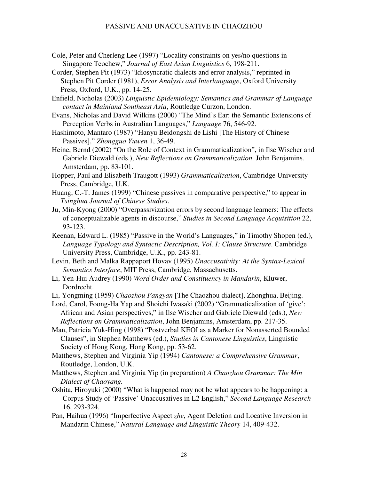Cole, Peter and Cherleng Lee (1997) "Locality constraints on yes/no questions in Singapore Teochew," *Journal of East Asian Linguistics* 6, 198-211.

 $\overline{a}$ 

Corder, Stephen Pit (1973) "Idiosyncratic dialects and error analysis," reprinted in Stephen Pit Corder (1981), *Error Analysis and Interlanguage*, Oxford University Press, Oxford, U.K., pp. 14-25.

Enfield, Nicholas (2003) *Linguistic Epidemiology: Semantics and Grammar of Language contact in Mainland Southeast Asia*, Routledge Curzon, London.

- Evans, Nicholas and David Wilkins (2000) "The Mind's Ear: the Semantic Extensions of Perception Verbs in Australian Languages," *Language* 76, 546-92.
- Hashimoto, Mantaro (1987) "Hanyu Beidongshi de Lishi [The History of Chinese Passives]," *Zhongguo Yuwen* 1, 36-49.
- Heine, Bernd (2002) "On the Role of Context in Grammaticalization", in Ilse Wischer and Gabriele Diewald (eds.), *New Reflections on Grammaticalization*. John Benjamins. Amsterdam, pp. 83-101.
- Hopper, Paul and Elisabeth Traugott (1993) *Grammaticalization*, Cambridge University Press, Cambridge, U.K.
- Huang, C.-T. James (1999) "Chinese passives in comparative perspective," to appear in *Tsinghua Journal of Chinese Studies*.
- Ju, Min-Kyong (2000) "Overpassivization errors by second language learners: The effects of conceptualizable agents in discourse," *Studies in Second Language Acquisition* 22, 93-123.
- Keenan, Edward L. (1985) "Passive in the World's Languages," in Timothy Shopen (ed.), *Language Typology and Syntactic Description, Vol. I: Clause Structure*. Cambridge University Press, Cambridge, U.K., pp. 243-81.
- Levin, Beth and Malka Rappaport Hovav (1995) *Unaccusativity: At the Syntax-Lexical Semantics Interface*, MIT Press, Cambridge, Massachusetts.
- Li, Yen-Hui Audrey (1990) *Word Order and Constituency in Mandarin*, Kluwer, Dordrecht.
- Li, Yongming (1959) *Chaozhou Fangyan* [The Chaozhou dialect], Zhonghua, Beijing.

Lord, Carol, Foong-Ha Yap and Shoichi Iwasaki (2002) "Grammaticalization of 'give': African and Asian perspectives," in Ilse Wischer and Gabriele Diewald (eds.), *New Reflections on Grammaticalization*, John Benjamins, Amsterdam, pp. 217-35.

- Man, Patricia Yuk-Hing (1998) "Postverbal KEOI as a Marker for Nonasserted Bounded Clauses", in Stephen Matthews (ed.), *Studies in Cantonese Linguistics*, Linguistic Society of Hong Kong, Hong Kong, pp. 53-62.
- Matthews, Stephen and Virginia Yip (1994) *Cantonese: a Comprehensive Grammar*, Routledge, London, U.K.
- Matthews, Stephen and Virginia Yip (in preparation) *A Chaozhou Grammar: The Min Dialect of Chaoyang.*
- Oshita, Hiroyuki (2000) "What is happened may not be what appears to be happening: a Corpus Study of 'Passive' Unaccusatives in L2 English," *Second Language Research* 16, 293-324.
- Pan, Haihua (1996) "Imperfective Aspect *zhe*, Agent Deletion and Locative Inversion in Mandarin Chinese," *Natural Language and Linguistic Theory* 14, 409-432.